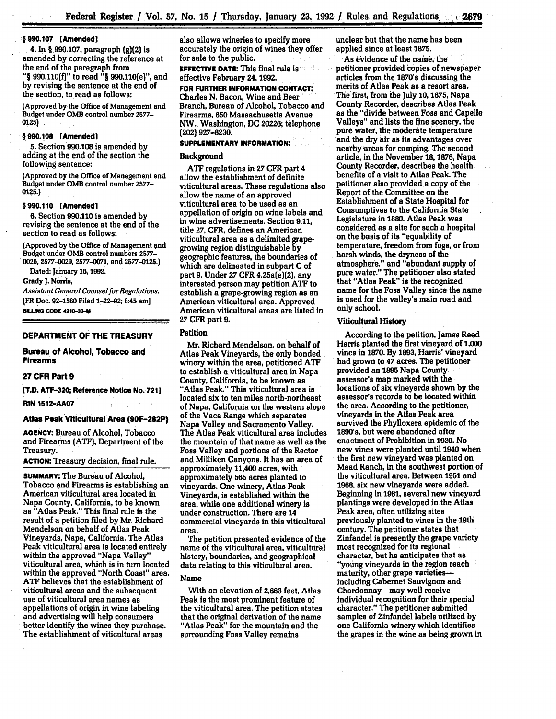## **1 990.107 [Amended]**

.4. **In § 990.107,** paragraph **(g)(2)** is amended **by** correcting the reference at the end of the paragraph from "§ **990.110(f)"** to read **"§** 990.110(e)", and **by** revising the sentence at the end of the section, to read as follows:

(Approved **by** the Office of Management and Budget under **OMB** control number **2577- 0125)**

#### **§ 990.108 [Amended]**

**5.** Section 990.108 is amended **by** adding at the end of the section the following sentence:

(Approved **by** the Office of Management and Budget under **OMB** control number **2577- 0125.)**

#### **§990.110 [Amended]**

**6.** Section **990.110** is amended **by** revising the sentence at the end of the section to read as follows:

(Approved **by** the Office of Management and Budget under **OMB** control numbers 2577- 0026, 2577-0029, 2577-0071, and 2577-0125.)

Dated: January **16, 1992.**

Grady **J. Norris,**

*Assistant General Counselfor Regulations.* **[FR** Doc. **92-1580** Filed 1-22-92; 8:45 am] **BILUNG CODE 4210-33-**

#### **DEPARTMENT OF THE TREASURY**

#### **Bureau of Alcohol, Tobacco and Firearms**

### **27 CFR Part 9**

**[T.D. ATF-320; Reference Notice No. 721]**

**RIN 1512-AA07**

### **Atlas Peak Viticultural Area (90F-282P)**

**AGENCY:** Bureau **of** Alcohol, Tobacco and Firearms (ATF), Department of the Treasury.

**ACTION:** Treasury decision, **final rule.**

**SUMMARY: The** Bureau of Alcohol, Tobacco and Firearms is establishing an American viticultural area located in Napa County, California, to be known as "Atlas Peak." This final rule is the result of a petition filed **by** Mr. Richard Mendelson on behalf of Atlas Peak Vineyards, Napa, California. The Atlas Peak viticultural area is located entirely within the approved "Napa Valley" viticultural area, which is in turn located within the approved "North Coast" area. **ATF** believes that the establishment of viticultural areas and the subsequent use of viticultural area names as appellations of origin in wine labeling and advertising will help consumers better identify the wines they purchase. The establishment of viticultural areas

also allows wineries to specify more accurately the origin of wines they offer for sale to the public.

**EFFECTIVE DATE:** This final rule is effective February 24, **1992.**

# **FOR FURTHER INFORMATION CONTACT:**

Charles **N.** Bacon, Wine and Beer Branch, Bureau of Alcohol, Tobacco and Firearms, **650** Massachusetts Avenue NW., Washington, **DC 20226;** telephone (202) **927-8230.**

## **SUPPLEMENTARY INFORMATION:**

## Background

**ATF** regulations in **27** CFR part 4 allow the establishment of definite viticultural areas. These regulations also allow the name of an approved viticultural area to be used as an appellation of origin on wine labels and in wine advertisements. Section **9.11, title 27,** CFR, defines an American viticultural area as a delimited grapegrowing region distinguishable **by** geographic features, the boundaries of which are delineated in subpart **C** of part **9.** Under **27** CFR 4.25a(e)(2), any interested person may petition **ATF** to establish a grape-growing region as an American viticultural area. Approved American viticultural areas are listed in **27** CFR part **9.**

## Petition

Mr. Richard Mendelson, on behalf of Atlas Peak Vineyards, the only bonded winery within the area, petitioned **ATF** to establish a viticultural area in Napa County, California, to be known as "Atlas Peak." This viticultural area is located six to ten miles north-northeast of Napa, California on the western slope of the Vaca Range which separates Napa Valley and Sacramento Valley. The Atlas Peak viticultural area includes the mountain of that name as well as the Foss Valley and portions of the Rector and Milliken Canyons. It has an area of approximately 11,400 acres, with approximately **565** acres planted to vineyards. One winery, Atlas Peak Vineyards, is established within the area, while one additional winery is under construction. There are 14 commercial vineyards in this viticultural area.

The petition presented evidence of the name of the viticultural area, viticultural history, boundaries, and geographical data relating to this viticultural area.

## Name

With an elevation of **2,663** feet, Atlas Peak is the most prominent feature of the viticultural area. The petition states that the original derivation of the name "Atlas Peak" for the mountain and the surrounding **Foss** Valley remains

unclear but that the name has been applied since at least **1875.**

As evidence of the name, the petitioner provided copies **of** newspaper articles from the 1870's discussing the merits of Atlas Peak as a resort area. The' first, from the July **10, 1875,** Napa County Recorder, describes Atlas Peak as the "divide between Foss and Capelle Valleys" and lists the fine scenery, the pure water, the moderate temperature and the dry air as its advantages over nearby areas for camping. The second article, in the November **18,1876,** Napa County Recorder, describes the health benefits of a visit to Atlas Peak. The petitioner also provided a copy of the Report of the Committee on the Establishment of a State Hospital for Consumptives to the California State Legislature in **1880.** Atlas Peak was considered as a site for such a hospital on the basis of its "equability of temperature, freedom from fogs, or from harsh winds, the dryness of the atmosphere," and "abundant supply of pure water." The petitioner also stated that "Atlas Peak" is the recognized name for the Foss Valley since the name is used for the valley's main road and only school.

### Viticultural History

According to the petition, James Reed Harris planted the first vineyard of **1,000** vines in **1870. By 1893,** Harris' vineyard had grown to 47 acres. The petitioner provided an **1895** Napa County assessor's map marked with the locations of six vineyards shown **by** the assessor's records to be located within the area. According to the petitioner, vineyards in the Atlas Peak area survived the Phylloxera epidemic of the **1890's,** but were abandoned after enactment of Prohibition in **1920.** No new vines were planted until 1940 when the first new vineyard was planted on Mead Ranch, in the southwest portion of the viticultural area. Between **1951** and **1968,** six new vineyards were added. Beginning in **1981,** several new vineyard plantings were developed in the Atlas Peak area, often utilizing sites previously planted to vines in the 19th century. The petitioner states that Zinfandel is presently the grape variety most recognized for its regional character, **but** he anticipates that as "young vineyards in the region reach maturity, other grape varietiesincluding Cabernet Sauvignon and Chardonnay-may well receive individual recognition for their special character." The petitioner submitted samples of Zinfandel labels utilized **by** one California winery which identifies the grapes in the wine as being grown in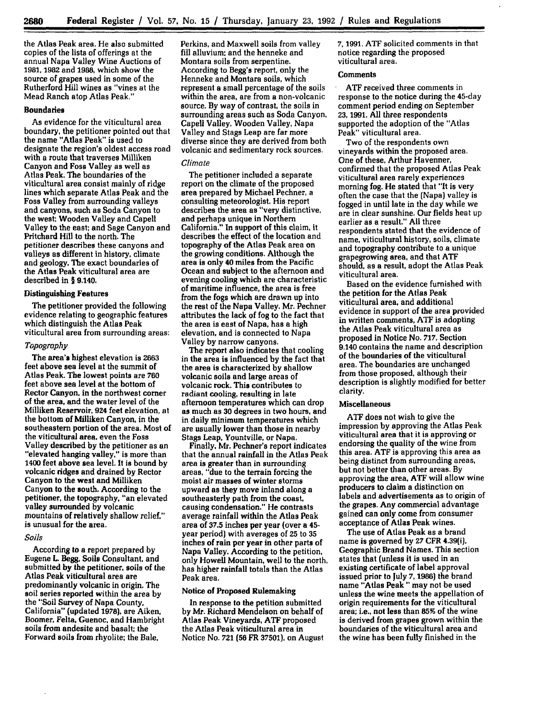the Atlas Peak area. He also submitted copies of the lists of offerings at the annual Napa Valley Wine Auctions of **1981. 1982** and **1988,** which show the source of grapes used in some of the Rutherford **Hill** wines as "vines at the Mead Ranch atop Atlas Peak."

## **Boundaries**

As evidence for the viticultural area boundary, the petitioner pointed out that the name "Atlas Peak" is used to designate the region's oldest access road with a route that traverses Milliken Canyon and Foss Valley as well as Atlas Peak. The boundaries of the viticultural area consist mainly of ridge lines which separate Atlas Peak and the Foss Valley from surrounding valleys and canyons, such as Soda Canyon to the west; Wooden Valley and Capell Valley to the east; and Sage Canyon and Pritchard Hill to the north. The petitioner describes these canyons and valleys as different in history, climate and geology. The exact boundaries of the Atlas Peak viticultural area are described in **§** 9.140.

## **Distinguishing Features**

The petitioner provided the following evidence relating to geographic features which distinguish the Atlas Peak viticultural area from surrounding areas:

## *Topography*

The area's highest elevation is **2663** feet above sea level at the summit of Atlas Peak. The lowest points are **760** feet above sea level at the bottom of Rector Canyon. in the northwest corner of the area, and the water level of the Milliken Reservoir, 924 feet elevation, at the bottom of Milliken Canyon, in the southeastern portion of the area. Most of the viticultural area, even the Foss Valley described **by** the petitioner as an "elevated hanging valley," is more than 1400 feet above sea level. It is bound **by** volcanic ridges and drained **by** Rector Canyon to the west and Milliken Canyon to the south. According to the petitioner, the topography. "an elevated valley surrounded **by** volcanic mountains of relatively shallow relief," is unusual for the area.

## *Soils*

According to **a** report prepared **by** Eugene L. Begg, Soils Consultant, and submitted **by** the petitioner, soils of the Atlas Peak viticultural area are predominantly volcanic in origin. The soil series reported within the area **by** the "Soil Survey of Napa County, California" (updated **1978).** are Aiken, Boomer, Felta, Guenoc, and Hambright soils from andesite and basalt; the Forward soils from rhyolite; the Bale,

Perkins, and Maxwell soils from valley **fill** alluvium: and the henneke and Montara soils from serpentine. According to Begg's report, only the Henneke and Montara soils, which represent a small percentage of the soils within the area, are from a non-volcanic source. **By** way of contrast, the soils in surrounding areas such as Soda Canyon, Capell Valley, Wooden Valley, Napa Valley and Stags Leap are far more diverse since they are derived from both volcanic and sedimentary rock sources.

## *Climate*

The petitioner included a separate report on the climate of the proposed area prepared **by** Michael Pechner, a consulting meteorologist. His report describes the area as "very distinctive, and perhaps unique in Northern California." In support of this claim, it describes the effect of the location and topography of the Atlas Peak area on the growing conditions. Although the area is only 40 miles from the Pacific Ocean and subject to the afternoon and evening cooling which are characteristic of maritime influence, the area is free from the fogs which are drawn up into the rest of the Napa Valley. Mr. Pechner attributes the lack of fog to the fact that the area is east of Napa, has a high elevation, and is connected to Napa Valley **by** narrow canyons.

The report also indicates that cooling in the area is influenced **by** the fact that the area is characterized **by** shallow volcanic soils and large areas of volcanic rock. This contributes to radiant cooling, resulting in late afternoon temperatures which can drop **as** much as **30** degrees in two hours, and in daily minimum temperatures which are usually lower than those in nearby Stags Leap, Yountville, or Napa.

Finally, Mr. Pechner's report indicates that the annual rainfall in the Atlas Peak area is greater than **in surrounding** areas, "due to the terrain forcing the moist air masses of winter storms upward as they move inland along a southeasterly path from the coast, causing condensation." He contrasts average rainfall within the Atlas Peak area of **37.5** inches per year (over a 45 year period) with averages of **25** to **35** inches of rain per year in other parts of Napa Valley. According to the petition, only Howell Mountain, well to the north, has higher rainfall totals than the Atlas Peak area.

#### Notice of Proposed Rulemaking

In response to the petition submitted **by** Mr. Richard Mendelson on behalf of Atlas Peak Vineyards, **ATF** proposed the Atlas Peak viticultural area in Notice No. **721 (56** FR **37501).** on August **7,** 1991. ATF solicited comments in that notice regarding the proposed viticultural area.

#### **Comments**

**ATF** received three comments in response to the notice during the 45-day comment period ending on September **23,** 1991. **All** three respondents supported the adoption of the "Atlas Peak" viticultural area.

Two of the respondents own vineyards within the proposed area. One of these, Arthur Havenner, confirmed that the proposed Atlas Peak viticultural area rarely experiences morning fog. He stated that "It is very often the case that the (Napa) valley is fogged in until late in the day while we are in clear sunshine. Our fields heat up earlier as a result." **All** three respondents stated that the evidence of name, viticultural history, soils, climate and topography contribute to a unique grapegrowing area, and that **ATF** should, as a result, adopt the Atlas Peak viticultural area.

Based on the evidence furnished with the petition for the Atlas Peak viticultural area, and additional evidence in support of the area provided in written comments, **ATF** is adopting the Atlas Peak viticultural area as proposed in Notice No. **717.** Section 9.140 contains the name and description of the boundaries of the viticultural area. The boundaries are unchanged from those proposed, although their description is slightly modified for better clarity.

#### **Miscellaneous**

ATF does not wish to give the impression **by** approving the Atlas Peak viticultural area that it is approving or endorsing the quality of the wine from this area. **ATF** is approving this area as being distinct from surrounding areas, but not better than other areas. **By** approving the area, **ATF** will allow wine producers to claim a distinction on labels and advertisements as to origin of the grapes. Any commercial advantage gained can only come from consumer acceptance of Atlas Peak wines.

The use of Atlas Peak as a brand name is governed **by 27** CFR 4.39(i), Geographic Brand Names. This section states that (unless it is used in an existing certificate of label approval issued prior to July **7, 1986)** the brand name "Atlas Peak " may not be used unless the wine meets the appellation of origin requirements for the viticultural area: i.e., not **less** than **85%** of the wine is derived from grapes grown within the boundaries of the viticultural area and the wine has been fully finished in the